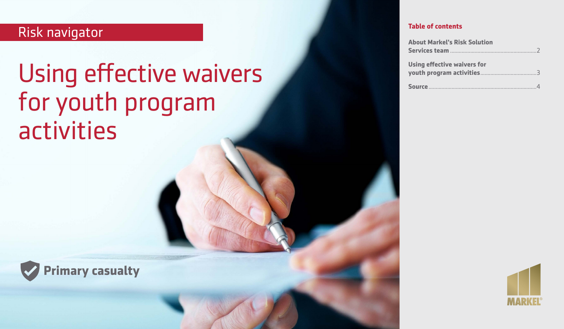# Risk navigator

# Using effective waivers for youth program activities



| <b>About Markel's Risk Solution</b> |
|-------------------------------------|
|                                     |
| Using effective waivers for         |
|                                     |
|                                     |



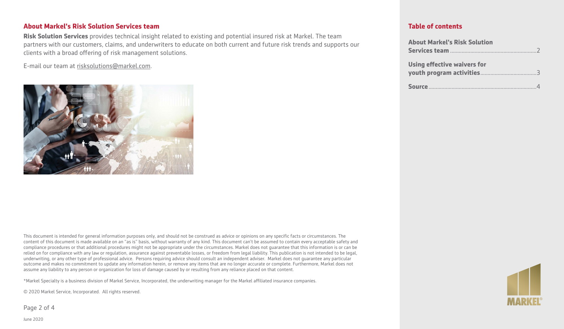# **About Markel's Risk Solution Services team**

**Risk Solution Services** provides technical insight related to existing and potential insured risk at Markel. The team partners with our customers, claims, and underwriters to educate on both current and future risk trends and supports our clients with a broad offering of risk management solutions.

E-mail our team at [risksolutions@markel.com](mailto:risksolutions@markel.com).



This document is intended for general information purposes only, and should not be construed as advice or opinions on any specific facts or circumstances. The content of this document is made available on an "as is" basis, without warranty of any kind. This document can't be assumed to contain every acceptable safety and compliance procedures or that additional procedures might not be appropriate under the circumstances. Markel does not guarantee that this information is or can be relied on for compliance with any law or regulation, assurance against preventable losses, or freedom from legal liability. This publication is not intended to be legal, underwriting, or any other type of professional advice. Persons requiring advice should consult an independent adviser. Markel does not guarantee any particular outcome and makes no commitment to update any information herein, or remove any items that are no longer accurate or complete. Furthermore, Markel does not assume any liability to any person or organization for loss of damage caused by or resulting from any reliance placed on that content.

\*Markel Specialty is a business division of Markel Service, Incorporated, the underwriting manager for the Markel affiliated insurance companies.

© 2020 Markel Service, Incorporated. All rights reserved.

Page 2 of 4

# **Table of contents**

| <b>About Markel's Risk Solution</b> |
|-------------------------------------|
|                                     |
| Using effective waivers for         |
|                                     |
|                                     |



June 2020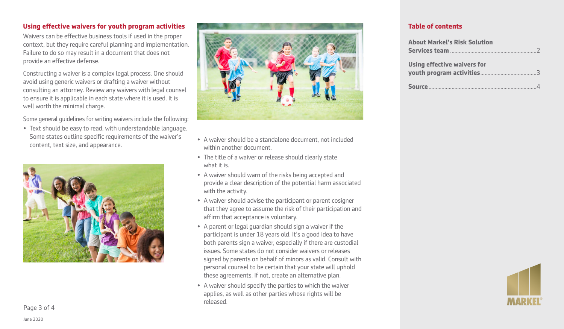# **Using effective waivers for youth program activities**

Waivers can be effective business tools if used in the proper context, but they require careful planning and implementation. Failure to do so may result in a document that does not provide an effective defense.

Constructing a waiver is a complex legal process. One should avoid using generic waivers or drafting a waiver without consulting an attorney. Review any waivers with legal counsel to ensure it is applicable in each state where it is used. It is well worth the minimal charge.

Some general guidelines for writing waivers include the following:

• Text should be easy to read, with understandable language. Some states outline specific requirements of the waiver's Some states outline specific requirements of the waiver s expansion of the waiver should be a standalone document, not included content, text size, and appearance.





- within another document.
- The title of a waiver or release should clearly state what it is
- A waiver should warn of the risks being accepted and provide a clear description of the potential harm associated with the activity.
- A waiver should advise the participant or parent cosigner that they agree to assume the risk of their participation and affirm that acceptance is voluntary.
- A parent or legal guardian should sign a waiver if the participant is under 18 years old. It's a good idea to have both parents sign a waiver, especially if there are custodial issues. Some states do not consider waivers or releases signed by parents on behalf of minors as valid. Consult with personal counsel to be certain that your state will uphold these agreements. If not, create an alternative plan.
- A waiver should specify the parties to which the waiver applies, as well as other parties whose rights will be released.

# **Table of contents**

| <b>About Markel's Risk Solution</b> |
|-------------------------------------|
|                                     |
| Using effective waivers for         |
|                                     |
|                                     |